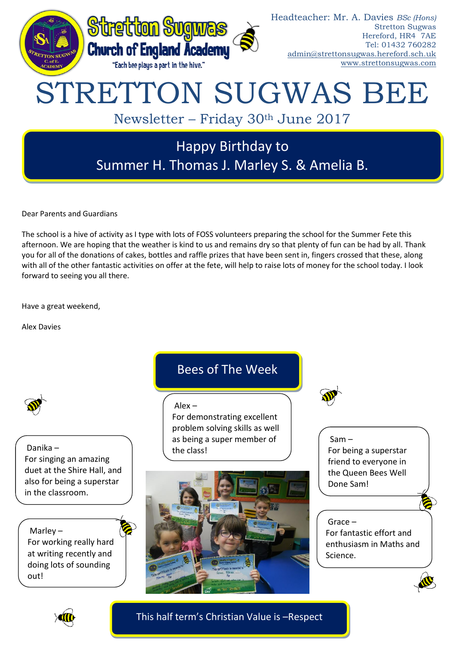

Dear Parents and Guardians

The school is a hive of activity as I type with lots of FOSS volunteers preparing the school for the Summer Fete this afternoon. We are hoping that the weather is kind to us and remains dry so that plenty of fun can be had by all. Thank you for all of the donations of cakes, bottles and raffle prizes that have been sent in, fingers crossed that these, along with all of the other fantastic activities on offer at the fete, will help to raise lots of money for the school today. I look forward to seeing you all there.

Have a great weekend,

Alex Davies



Danika – For singing an amazing duet at the Shire Hall, and also for being a superstar in the classroom.

Marley – For working really hard at writing recently and doing lots of sounding out!

# Bees of The Week

Alex –

For demonstrating excellent problem solving skills as well as being a super member of the class!





Sam – For being a superstar friend to everyone in the Queen Bees Well Done Sam!

## Grace –

For fantastic effort and enthusiasm in Maths and Science.



This half term's Christian Value is –Respect